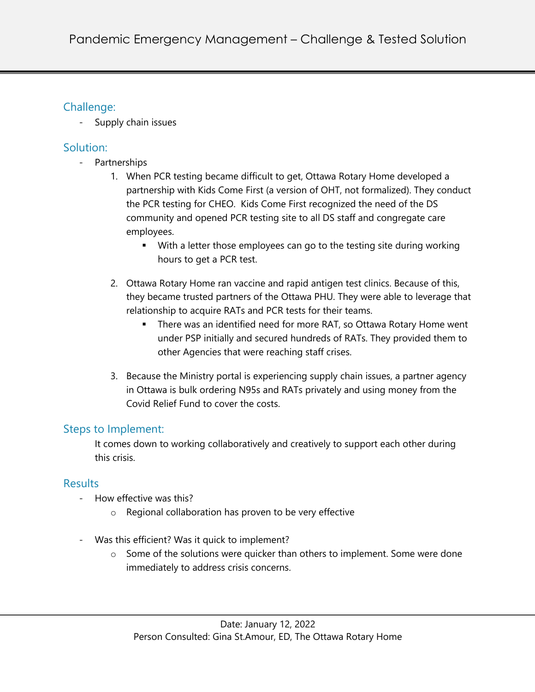## Challenge:

- Supply chain issues

## Solution:

- Partnerships
	- 1. When PCR testing became difficult to get, Ottawa Rotary Home developed a partnership with Kids Come First (a version of OHT, not formalized). They conduct the PCR testing for CHEO. Kids Come First recognized the need of the DS community and opened PCR testing site to all DS staff and congregate care employees.
		- With a letter those employees can go to the testing site during working hours to get a PCR test.
	- 2. Ottawa Rotary Home ran vaccine and rapid antigen test clinics. Because of this, they became trusted partners of the Ottawa PHU. They were able to leverage that relationship to acquire RATs and PCR tests for their teams.
		- There was an identified need for more RAT, so Ottawa Rotary Home went under PSP initially and secured hundreds of RATs. They provided them to other Agencies that were reaching staff crises.
	- 3. Because the Ministry portal is experiencing supply chain issues, a partner agency in Ottawa is bulk ordering N95s and RATs privately and using money from the Covid Relief Fund to cover the costs.

# Steps to Implement:

It comes down to working collaboratively and creatively to support each other during this crisis.

# **Results**

- How effective was this?
	- o Regional collaboration has proven to be very effective
- Was this efficient? Was it quick to implement?
	- $\circ$  Some of the solutions were quicker than others to implement. Some were done immediately to address crisis concerns.